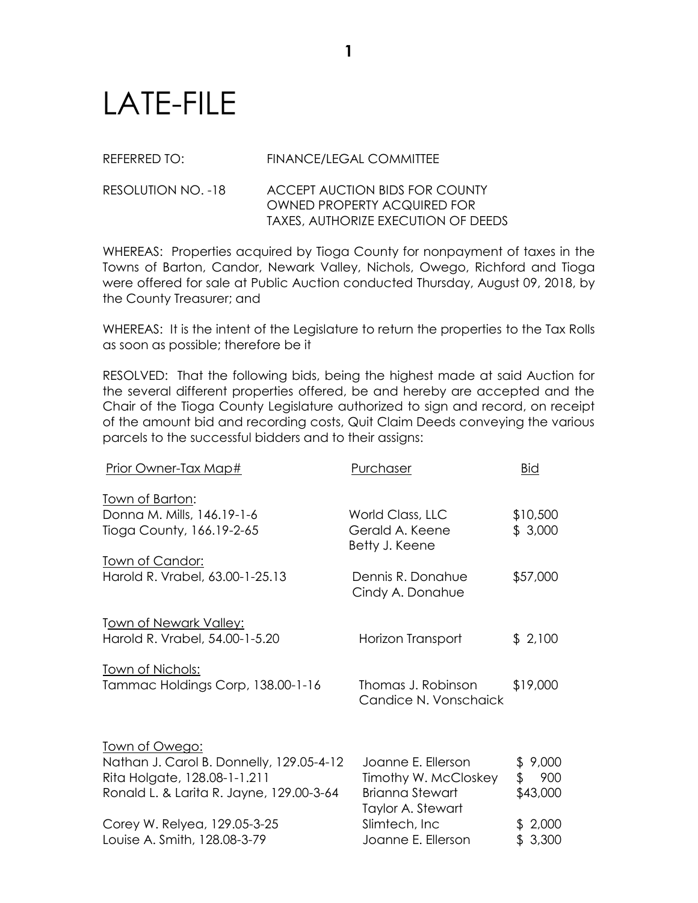## LATE-FILE

## REFERRED TO: FINANCE/LEGAL COMMITTEE

## RESOLUTION NO. -18 ACCEPT AUCTION BIDS FOR COUNTY OWNED PROPERTY ACQUIRED FOR TAXES, AUTHORIZE EXECUTION OF DEEDS

WHEREAS: Properties acquired by Tioga County for nonpayment of taxes in the Towns of Barton, Candor, Newark Valley, Nichols, Owego, Richford and Tioga were offered for sale at Public Auction conducted Thursday, August 09, 2018, by the County Treasurer; and

WHEREAS: It is the intent of the Legislature to return the properties to the Tax Rolls as soon as possible; therefore be it

RESOLVED: That the following bids, being the highest made at said Auction for the several different properties offered, be and hereby are accepted and the Chair of the Tioga County Legislature authorized to sign and record, on receipt of the amount bid and recording costs, Quit Claim Deeds conveying the various parcels to the successful bidders and to their assigns:

| Prior Owner-Tax Map#                                                                                                                   | Purchaser                                                                                 | Bid                              |
|----------------------------------------------------------------------------------------------------------------------------------------|-------------------------------------------------------------------------------------------|----------------------------------|
| <u>Town of Barton:</u><br>Donna M. Mills, 146.19-1-6<br>Tioga County, 166.19-2-65                                                      | World Class, LLC<br>Gerald A. Keene<br>Betty J. Keene                                     | \$10,500<br>\$3,000              |
| <u>Town of Candor:</u><br>Harold R. Vrabel, 63.00-1-25.13                                                                              | Dennis R. Donahue<br>Cindy A. Donahue                                                     | \$57,000                         |
| Town of Newark Valley:<br>Harold R. Vrabel, 54.00-1-5.20                                                                               | Horizon Transport                                                                         | \$2,100                          |
| <u>Town of Nichols:</u><br>Tammac Holdings Corp, 138.00-1-16                                                                           | Thomas J. Robinson<br>Candice N. Vonschaick                                               | \$19,000                         |
| Town of Owego:<br>Nathan J. Carol B. Donnelly, 129.05-4-12<br>Rita Holgate, 128.08-1-1.211<br>Ronald L. & Larita R. Jayne, 129.00-3-64 | Joanne E. Ellerson<br>Timothy W. McCloskey<br><b>Brianna Stewart</b><br>Taylor A. Stewart | \$9,000<br>\$<br>900<br>\$43,000 |
| Corey W. Relyea, 129.05-3-25<br>Louise A. Smith, 128.08-3-79                                                                           | Slimtech, Inc<br>Joanne E. Ellerson                                                       | \$2,000<br>\$3,300               |
|                                                                                                                                        |                                                                                           |                                  |